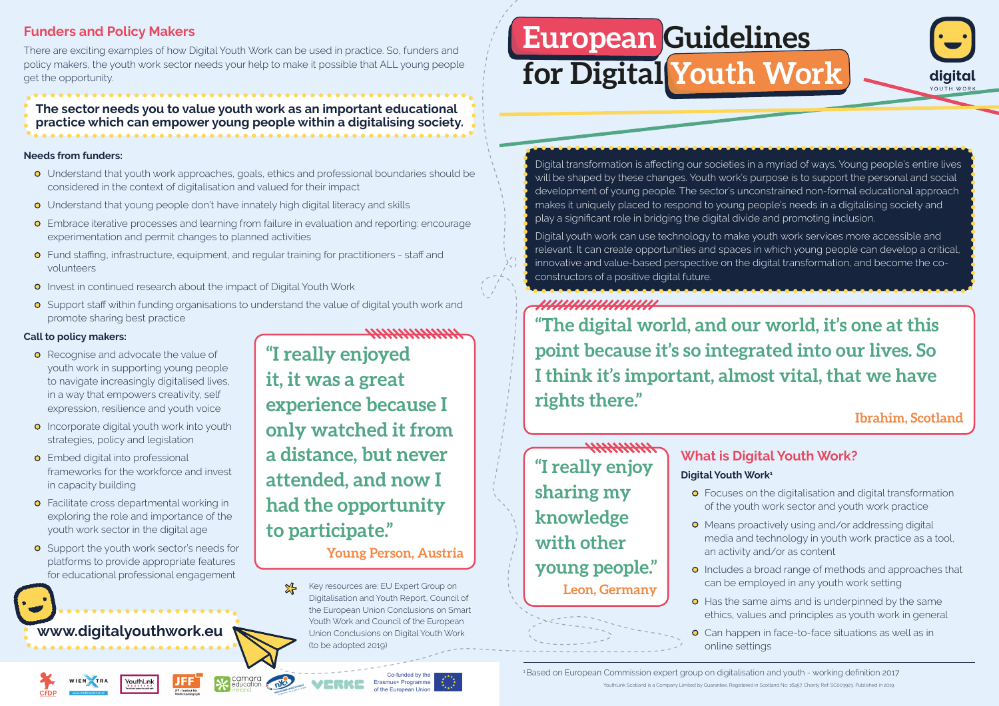Co-funded by the Erasmus+ Programme of the European Union

# **European Guidelines for Digital Youth Work**

<sup>1</sup>Based on European Commission expert group on digitalisation and youth - working definition 2017 YouthLink Scotland is a Company Limited by Guarantee. Registered in Scotland No: 16457. Charity Ref: SC003923. Published in 2019.

#### **Call to policy makers:**

- **•** Recognise and advocate the value of youth work in supporting young people to navigate increasingly digitalised lives, in a way that empowers creativity, self expression, resilience and youth voice
- **•** Incorporate digital youth work into youth strategies, policy and legislation
- **•** Embed digital into professional frameworks for the workforce and invest in capacity building
- **•** Facilitate cross departmental working in exploring the role and importance of the youth work sector in the digital age
- **o** Support the youth work sector's needs for platforms to provide appropriate features for educational professional engagement

### **Funders and Policy Makers**

There are exciting examples of how Digital Youth Work can be used in practice. So, funders and policy makers, the youth work sector needs your help to make it possible that ALL young people get the opportunity.

#### **The sector needs you to value youth work as an important educational practice which can empower young people within a digitalising society.**



YouthLink





**"I really enjoyed it, it was a great experience because I only watched it from a distance, but never attended, and now I had the opportunity to participate."**

**Young Person, Austria**

**"The digital world, and our world, it's one at this point because it's so integrated into our lives. So I think it's important, almost vital, that we have rights there."** 

**Ibrahim, Scotland**

## **"I really enjoy sharing my knowledge with other young people." Leon, Germany**

Digital transformation is affecting our societies in a myriad of ways. Young people's entire lives will be shaped by these changes. Youth work's purpose is to support the personal and social development of young people. The sector's unconstrained non-formal educational approach makes it uniquely placed to respond to young people's needs in a digitalising society and play a significant role in bridging the digital divide and promoting inclusion.

Digital youth work can use technology to make youth work services more accessible and relevant. It can create opportunities and spaces in which young people can develop a critical, innovative and value-based perspective on the digital transformation, and become the coconstructors of a positive digital future.

## ,,,,,,,,,,,,,,,,,,,,,,

Key resources are: EU Expert Group on Digitalisation and Youth Report, Council of the European Union Conclusions on Smart Youth Work and Council of the European Union Conclusions on Digital Youth Work (to be adopted 2019)

#### **Needs from funders:**

- Understand that youth work approaches, goals, ethics and professional boundaries should be considered in the context of digitalisation and valued for their impact
- Understand that young people don't have innately high digital literacy and skills
- Embrace iterative processes and learning from failure in evaluation and reporting: encourage experimentation and permit changes to planned activities
- Fund staffing, infrastructure, equipment, and regular training for practitioners staff and volunteers
- **•** Invest in continued research about the impact of Digital Youth Work
- **•** Support staff within funding organisations to understand the value of digital youth work and promote sharing best practice

 $\frac{1}{2}$ 

## **What is Digital Youth Work? Digital Youth Work1**

- Focuses on the digitalisation and digital transformation of the youth work sector and youth work practice
- **•** Means proactively using and/or addressing digital media and technology in youth work practice as a tool, an activity and/or as content
- **•** Includes a broad range of methods and approaches that can be employed in any youth work setting
- **•** Has the same aims and is underpinned by the same ethics, values and principles as youth work in general
- **•** Can happen in face-to-face situations as well as in online settings